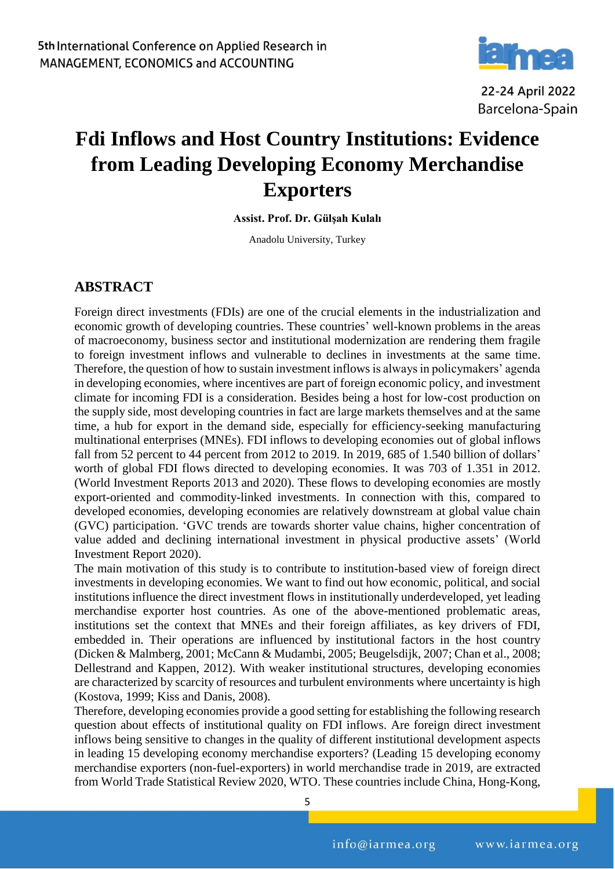

22-24 April 2022 Barcelona-Spain

## **Fdi Inflows and Host Country Institutions: Evidence from Leading Developing Economy Merchandise Exporters**

**Assist. Prof. Dr. Gülşah Kulalı**

Anadolu University, Turkey

## **ABSTRACT**

Foreign direct investments (FDIs) are one of the crucial elements in the industrialization and economic growth of developing countries. These countries' well-known problems in the areas of macroeconomy, business sector and institutional modernization are rendering them fragile to foreign investment inflows and vulnerable to declines in investments at the same time. Therefore, the question of how to sustain investment inflows is always in policymakers' agenda in developing economies, where incentives are part of foreign economic policy, and investment climate for incoming FDI is a consideration. Besides being a host for low-cost production on the supply side, most developing countries in fact are large markets themselves and at the same time, a hub for export in the demand side, especially for efficiency-seeking manufacturing multinational enterprises (MNEs). FDI inflows to developing economies out of global inflows fall from 52 percent to 44 percent from 2012 to 2019. In 2019, 685 of 1.540 billion of dollars' worth of global FDI flows directed to developing economies. It was 703 of 1.351 in 2012. (World Investment Reports 2013 and 2020). These flows to developing economies are mostly export-oriented and commodity-linked investments. In connection with this, compared to developed economies, developing economies are relatively downstream at global value chain (GVC) participation. 'GVC trends are towards shorter value chains, higher concentration of value added and declining international investment in physical productive assets' (World Investment Report 2020).

The main motivation of this study is to contribute to institution-based view of foreign direct investments in developing economies. We want to find out how economic, political, and social institutions influence the direct investment flows in institutionally underdeveloped, yet leading merchandise exporter host countries. As one of the above-mentioned problematic areas, institutions set the context that MNEs and their foreign affiliates, as key drivers of FDI, embedded in. Their operations are influenced by institutional factors in the host country (Dicken & Malmberg, 2001; McCann & Mudambi, 2005; Beugelsdijk, 2007; Chan et al., 2008; Dellestrand and Kappen, 2012). With weaker institutional structures, developing economies are characterized by scarcity of resources and turbulent environments where uncertainty is high (Kostova, 1999; Kiss and Danis, 2008).

Therefore, developing economies provide a good setting for establishing the following research question about effects of institutional quality on FDI inflows. Are foreign direct investment inflows being sensitive to changes in the quality of different institutional development aspects in leading 15 developing economy merchandise exporters? (Leading 15 developing economy merchandise exporters (non-fuel-exporters) in world merchandise trade in 2019, are extracted from World Trade Statistical Review 2020, WTO. These countries include China, Hong-Kong,